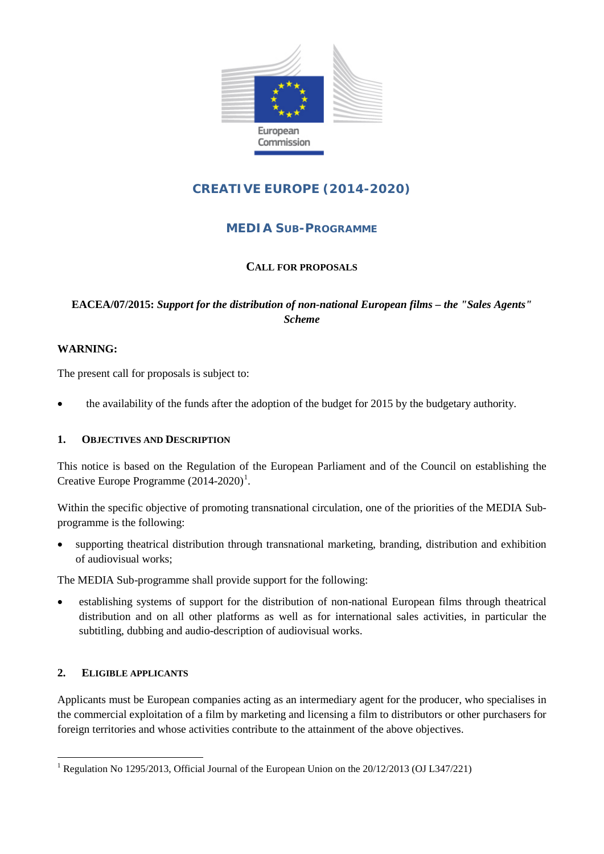

# **CREATIVE EUROPE (2014-2020)**

# **MEDIA SUB-PROGRAMME**

# **CALL FOR PROPOSALS**

# **EACEA/07/2015:** *Support for the distribution of non-national European films – the "Sales Agents" Scheme*

## **WARNING:**

The present call for proposals is subject to:

• the availability of the funds after the adoption of the budget for 2015 by the budgetary authority.

## **1. OBJECTIVES AND DESCRIPTION**

This notice is based on the Regulation of the European Parliament and of the Council on establishing the Creative Europe Programme  $(2014-2020)^1$  $(2014-2020)^1$  $(2014-2020)^1$ .

Within the specific objective of promoting transnational circulation, one of the priorities of the MEDIA Subprogramme is the following:

supporting theatrical distribution through transnational marketing, branding, distribution and exhibition of audiovisual works;

The MEDIA Sub-programme shall provide support for the following:

• establishing systems of support for the distribution of non-national European films through theatrical distribution and on all other platforms as well as for international sales activities, in particular the subtitling, dubbing and audio-description of audiovisual works.

## **2. ELIGIBLE APPLICANTS**

Applicants must be European companies acting as an intermediary agent for the producer, who specialises in the commercial exploitation of a film by marketing and licensing a film to distributors or other purchasers for foreign territories and whose activities contribute to the attainment of the above objectives.

<span id="page-0-0"></span> <sup>1</sup> Regulation No 1295/2013, Official Journal of the European Union on the 20/12/2013 (OJ L347/221)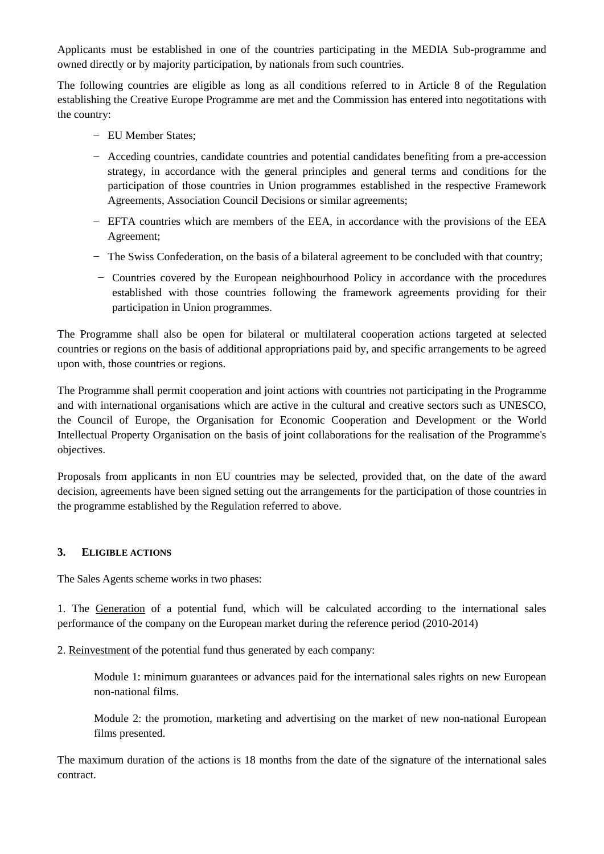Applicants must be established in one of the countries participating in the MEDIA Sub-programme and owned directly or by majority participation, by nationals from such countries.

The following countries are eligible as long as all conditions referred to in Article 8 of the Regulation establishing the Creative Europe Programme are met and the Commission has entered into negotitations with the country:

- − EU Member States;
- − Acceding countries, candidate countries and potential candidates benefiting from a pre-accession strategy, in accordance with the general principles and general terms and conditions for the participation of those countries in Union programmes established in the respective Framework Agreements, Association Council Decisions or similar agreements;
- − EFTA countries which are members of the EEA, in accordance with the provisions of the EEA Agreement;
- − The Swiss Confederation, on the basis of a bilateral agreement to be concluded with that country;
- − Countries covered by the European neighbourhood Policy in accordance with the procedures established with those countries following the framework agreements providing for their participation in Union programmes.

The Programme shall also be open for bilateral or multilateral cooperation actions targeted at selected countries or regions on the basis of additional appropriations paid by, and specific arrangements to be agreed upon with, those countries or regions.

The Programme shall permit cooperation and joint actions with countries not participating in the Programme and with international organisations which are active in the cultural and creative sectors such as UNESCO, the Council of Europe, the Organisation for Economic Cooperation and Development or the World Intellectual Property Organisation on the basis of joint collaborations for the realisation of the Programme's objectives.

Proposals from applicants in non EU countries may be selected, provided that, on the date of the award decision, agreements have been signed setting out the arrangements for the participation of those countries in the programme established by the Regulation referred to above.

## **3. ELIGIBLE ACTIONS**

The Sales Agents scheme works in two phases:

1. The Generation of a potential fund, which will be calculated according to the international sales performance of the company on the European market during the reference period (2010-2014)

2. Reinvestment of the potential fund thus generated by each company:

Module 1: minimum guarantees or advances paid for the international sales rights on new European non-national films.

Module 2: the promotion, marketing and advertising on the market of new non-national European films presented.

The maximum duration of the actions is 18 months from the date of the signature of the international sales contract.